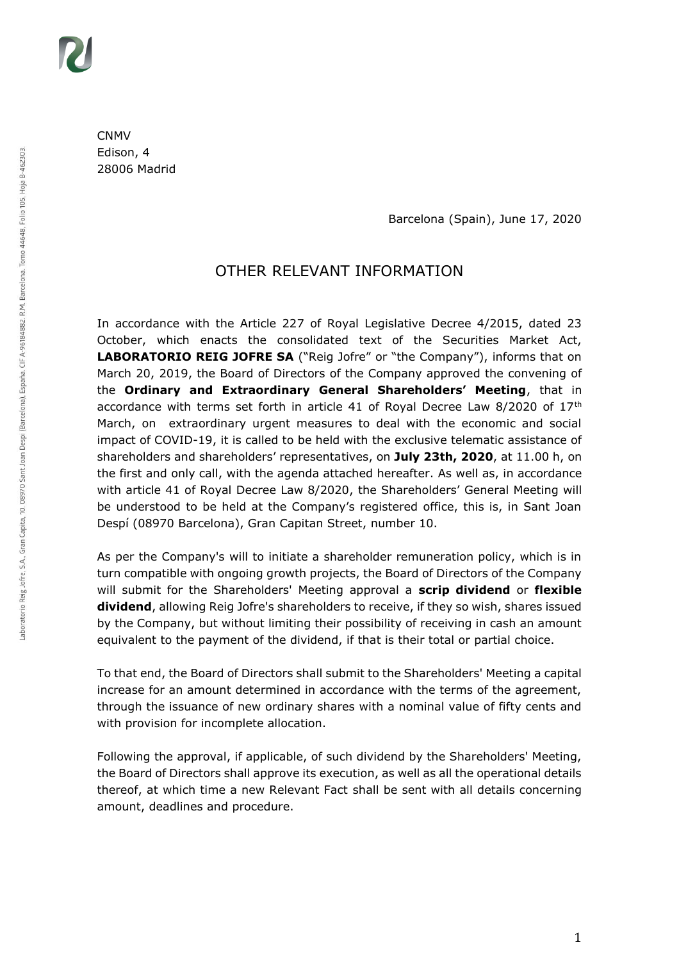CNMV Edison, 4 28006 Madrid

Barcelona (Spain), June 17, 2020

# OTHER RELEVANT INFORMATION

In accordance with the Article 227 of Royal Legislative Decree 4/2015, dated 23 October, which enacts the consolidated text of the Securities Market Act, LABORATORIO REIG JOFRE SA ("Reig Jofre" or "the Company"), informs that on March 20, 2019, the Board of Directors of the Company approved the convening of the **Ordinary and Extraordinary General Shareholders' Meeting**, that in accordance with terms set forth in article 41 of Royal Decree Law 8/2020 of  $17<sup>th</sup>$ March, on extraordinary urgent measures to deal with the economic and social impact of COVID-19, it is called to be held with the exclusive telematic assistance of shareholders and shareholders' representatives, on **July 23th, 2020**, at 11.00 h, on the first and only call, with the agenda attached hereafter. As well as, in accordance with article 41 of Royal Decree Law 8/2020, the Shareholders' General Meeting will be understood to be held at the Company's registered office, this is, in Sant Joan Despí (08970 Barcelona), Gran Capitan Street, number 10.

As per the Company's will to initiate a shareholder remuneration policy, which is in turn compatible with ongoing growth projects, the Board of Directors of the Company will submit for the Shareholders' Meeting approval a **scrip dividend** or **flexible dividend**, allowing Reig Jofre's shareholders to receive, if they so wish, shares issued by the Company, but without limiting their possibility of receiving in cash an amount equivalent to the payment of the dividend, if that is their total or partial choice.

To that end, the Board of Directors shall submit to the Shareholders' Meeting a capital increase for an amount determined in accordance with the terms of the agreement, through the issuance of new ordinary shares with a nominal value of fifty cents and with provision for incomplete allocation.

Following the approval, if applicable, of such dividend by the Shareholders' Meeting, the Board of Directors shall approve its execution, as well as all the operational details thereof, at which time a new Relevant Fact shall be sent with all details concerning amount, deadlines and procedure.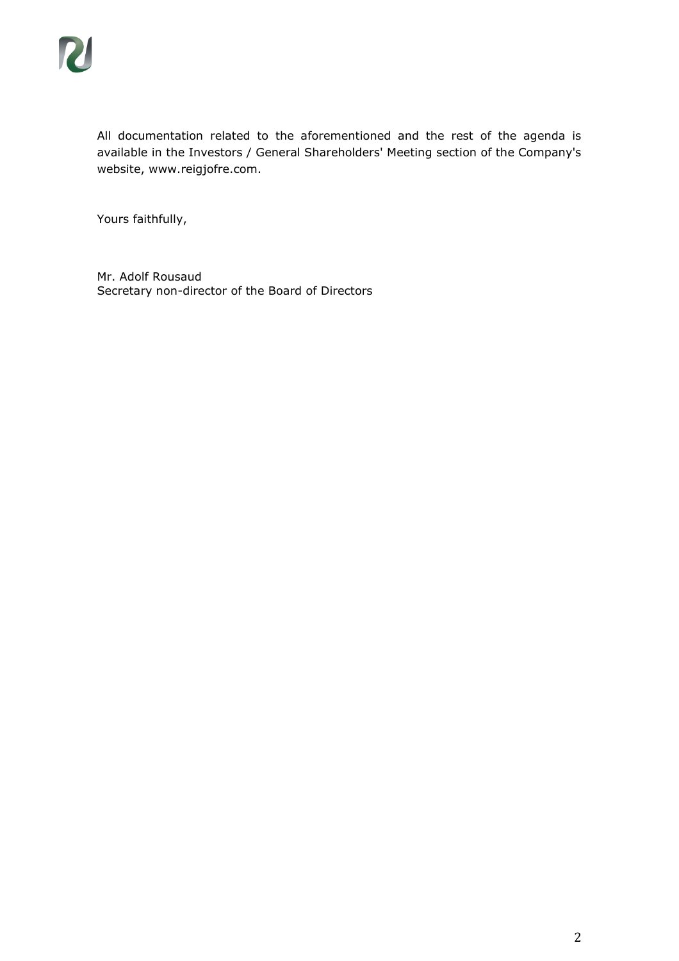All documentation related to the aforementioned and the rest of the agenda is available in the Investors / General Shareholders' Meeting section of the Company's website, www.reigjofre.com.

Yours faithfully,

Mr. Adolf Rousaud Secretary non-director of the Board of Directors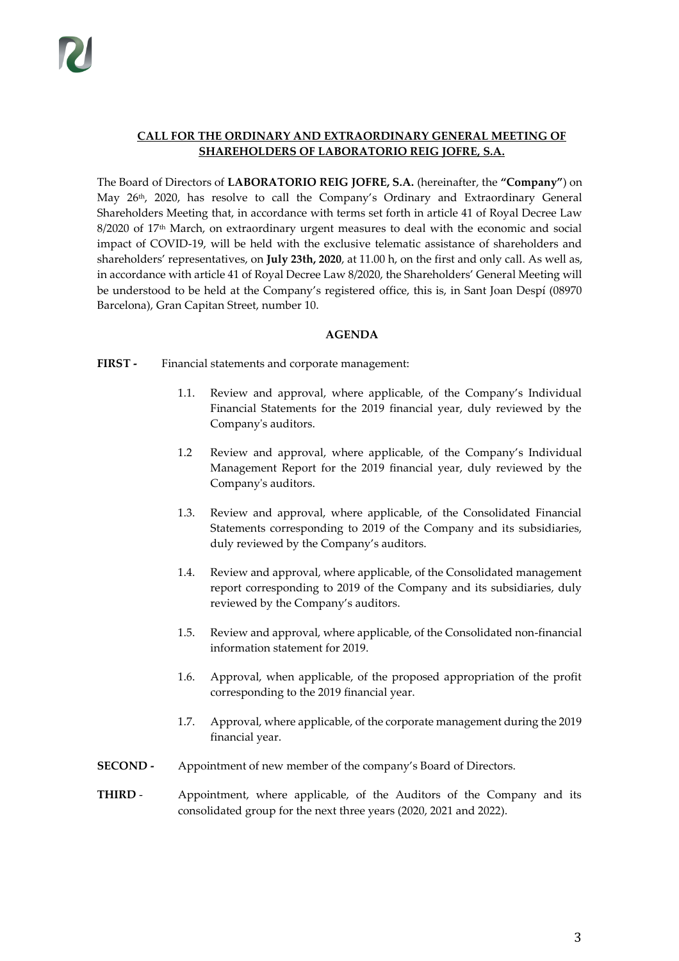# **CALL FOR THE ORDINARY AND EXTRAORDINARY GENERAL MEETING OF SHAREHOLDERS OF LABORATORIO REIG JOFRE, S.A.**

The Board of Directors of **LABORATORIO REIG JOFRE, S.A.** (hereinafter, the **"Company"**) on May 26<sup>th</sup>, 2020, has resolve to call the Company's Ordinary and Extraordinary General Shareholders Meeting that, in accordance with terms set forth in article 41 of Royal Decree Law  $8/2020$  of  $17<sup>th</sup>$  March, on extraordinary urgent measures to deal with the economic and social impact of COVID-19, will be held with the exclusive telematic assistance of shareholders and shareholders' representatives, on **July 23th, 2020**, at 11.00 h, on the first and only call. As well as, in accordance with article 41 of Royal Decree Law 8/2020, the Shareholders' General Meeting will be understood to be held at the Company's registered office, this is, in Sant Joan Despí (08970 Barcelona), Gran Capitan Street, number 10.

# **AGENDA**

**FIRST -** Financial statements and corporate management:

- 1.1. Review and approval, where applicable, of the Company's Individual Financial Statements for the 2019 financial year, duly reviewed by the Company's auditors.
- 1.2 Review and approval, where applicable, of the Company's Individual Management Report for the 2019 financial year, duly reviewed by the Company's auditors.
- 1.3. Review and approval, where applicable, of the Consolidated Financial Statements corresponding to 2019 of the Company and its subsidiaries, duly reviewed by the Company's auditors.
- 1.4. Review and approval, where applicable, of the Consolidated management report corresponding to 2019 of the Company and its subsidiaries, duly reviewed by the Company's auditors.
- 1.5. Review and approval, where applicable, of the Consolidated non-financial information statement for 2019.
- 1.6. Approval, when applicable, of the proposed appropriation of the profit corresponding to the 2019 financial year.
- 1.7. Approval, where applicable, of the corporate management during the 2019 financial year.
- **SECOND -** Appointment of new member of the company's Board of Directors.
- **THIRD** Appointment, where applicable, of the Auditors of the Company and its consolidated group for the next three years (2020, 2021 and 2022).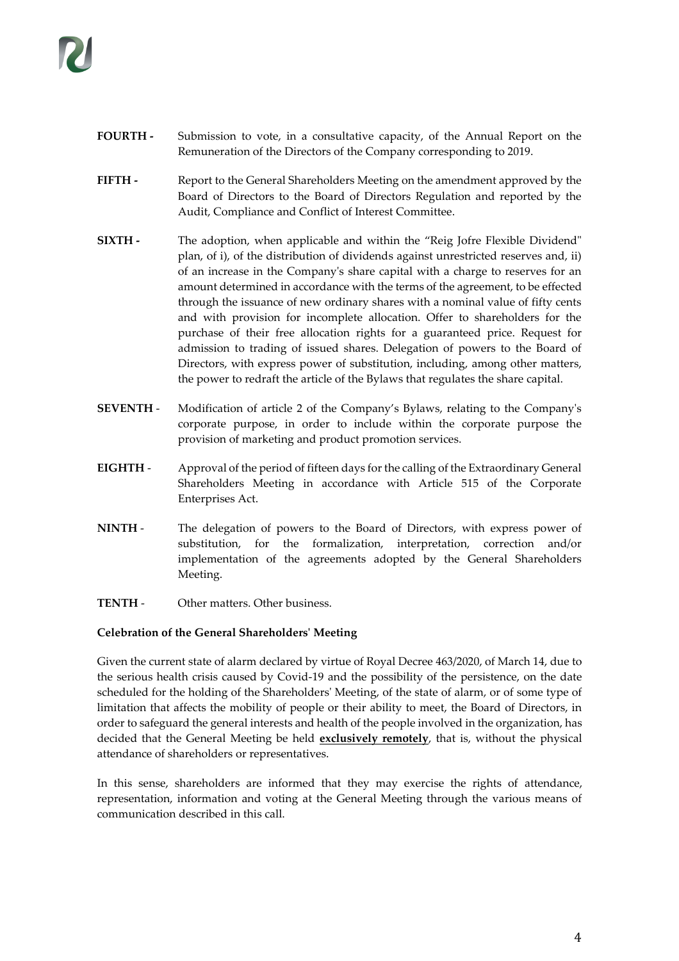- **FOURTH -** Submission to vote, in a consultative capacity, of the Annual Report on the Remuneration of the Directors of the Company corresponding to 2019.
- **FIFTH -** Report to the General Shareholders Meeting on the amendment approved by the Board of Directors to the Board of Directors Regulation and reported by the Audit, Compliance and Conflict of Interest Committee.
- **SIXTH -** The adoption, when applicable and within the "Reig Jofre Flexible Dividend" plan, of i), of the distribution of dividends against unrestricted reserves and, ii) of an increase in the Company's share capital with a charge to reserves for an amount determined in accordance with the terms of the agreement, to be effected through the issuance of new ordinary shares with a nominal value of fifty cents and with provision for incomplete allocation. Offer to shareholders for the purchase of their free allocation rights for a guaranteed price. Request for admission to trading of issued shares. Delegation of powers to the Board of Directors, with express power of substitution, including, among other matters, the power to redraft the article of the Bylaws that regulates the share capital.
- **SEVENTH** Modification of article 2 of the Company's Bylaws, relating to the Company's corporate purpose, in order to include within the corporate purpose the provision of marketing and product promotion services.
- **EIGHTH** Approval of the period of fifteen days for the calling of the Extraordinary General Shareholders Meeting in accordance with Article 515 of the Corporate Enterprises Act.
- **NINTH** The delegation of powers to the Board of Directors, with express power of substitution, for the formalization, interpretation, correction and/or implementation of the agreements adopted by the General Shareholders Meeting.
- **TENTH** Other matters. Other business.

# **Celebration of the General Shareholders' Meeting**

Given the current state of alarm declared by virtue of Royal Decree 463/2020, of March 14, due to the serious health crisis caused by Covid-19 and the possibility of the persistence, on the date scheduled for the holding of the Shareholders' Meeting, of the state of alarm, or of some type of limitation that affects the mobility of people or their ability to meet, the Board of Directors, in order to safeguard the general interests and health of the people involved in the organization, has decided that the General Meeting be held **exclusively remotely**, that is, without the physical attendance of shareholders or representatives.

In this sense, shareholders are informed that they may exercise the rights of attendance, representation, information and voting at the General Meeting through the various means of communication described in this call.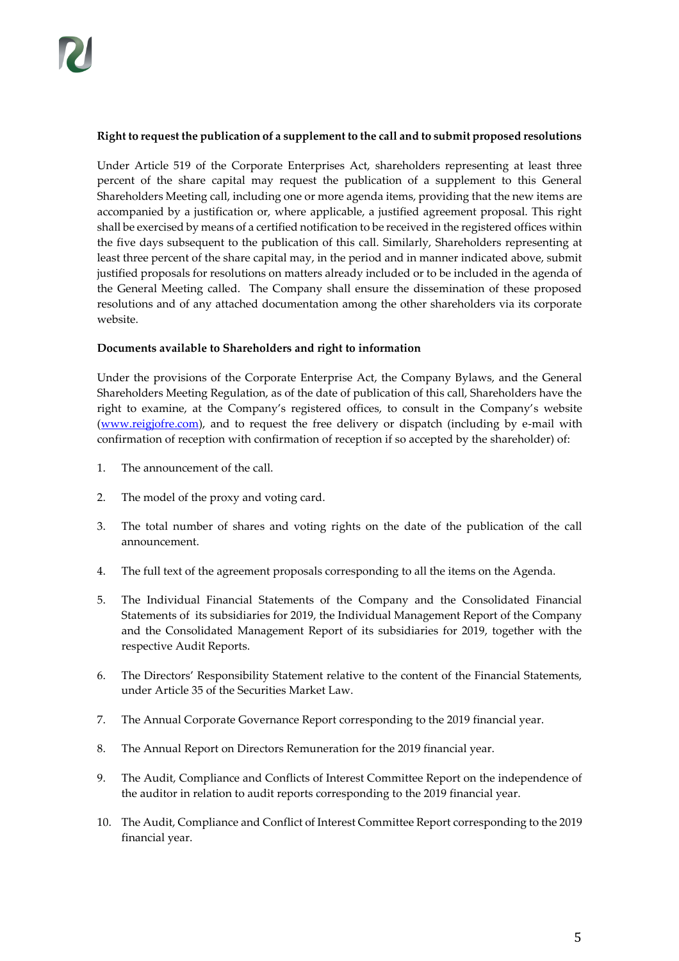# **Right to request the publication of a supplement to the call and to submit proposed resolutions**

Under Article 519 of the Corporate Enterprises Act, shareholders representing at least three percent of the share capital may request the publication of a supplement to this General Shareholders Meeting call, including one or more agenda items, providing that the new items are accompanied by a justification or, where applicable, a justified agreement proposal. This right shall be exercised by means of a certified notification to be received in the registered offices within the five days subsequent to the publication of this call. Similarly, Shareholders representing at least three percent of the share capital may, in the period and in manner indicated above, submit justified proposals for resolutions on matters already included or to be included in the agenda of the General Meeting called. The Company shall ensure the dissemination of these proposed resolutions and of any attached documentation among the other shareholders via its corporate website.

# **Documents available to Shareholders and right to information**

Under the provisions of the Corporate Enterprise Act, the Company Bylaws, and the General Shareholders Meeting Regulation, as of the date of publication of this call, Shareholders have the right to examine, at the Company's registered offices, to consult in the Company's website [\(www.reigjofre.com\)](http://www.reigjofre.com/), and to request the free delivery or dispatch (including by e-mail with confirmation of reception with confirmation of reception if so accepted by the shareholder) of:

- 1. The announcement of the call.
- 2. The model of the proxy and voting card.
- 3. The total number of shares and voting rights on the date of the publication of the call announcement.
- 4. The full text of the agreement proposals corresponding to all the items on the Agenda.
- 5. The Individual Financial Statements of the Company and the Consolidated Financial Statements of its subsidiaries for 2019, the Individual Management Report of the Company and the Consolidated Management Report of its subsidiaries for 2019, together with the respective Audit Reports.
- 6. The Directors' Responsibility Statement relative to the content of the Financial Statements, under Article 35 of the Securities Market Law.
- 7. The Annual Corporate Governance Report corresponding to the 2019 financial year.
- 8. The Annual Report on Directors Remuneration for the 2019 financial year.
- 9. The Audit, Compliance and Conflicts of Interest Committee Report on the independence of the auditor in relation to audit reports corresponding to the 2019 financial year.
- 10. The Audit, Compliance and Conflict of Interest Committee Report corresponding to the 2019 financial year.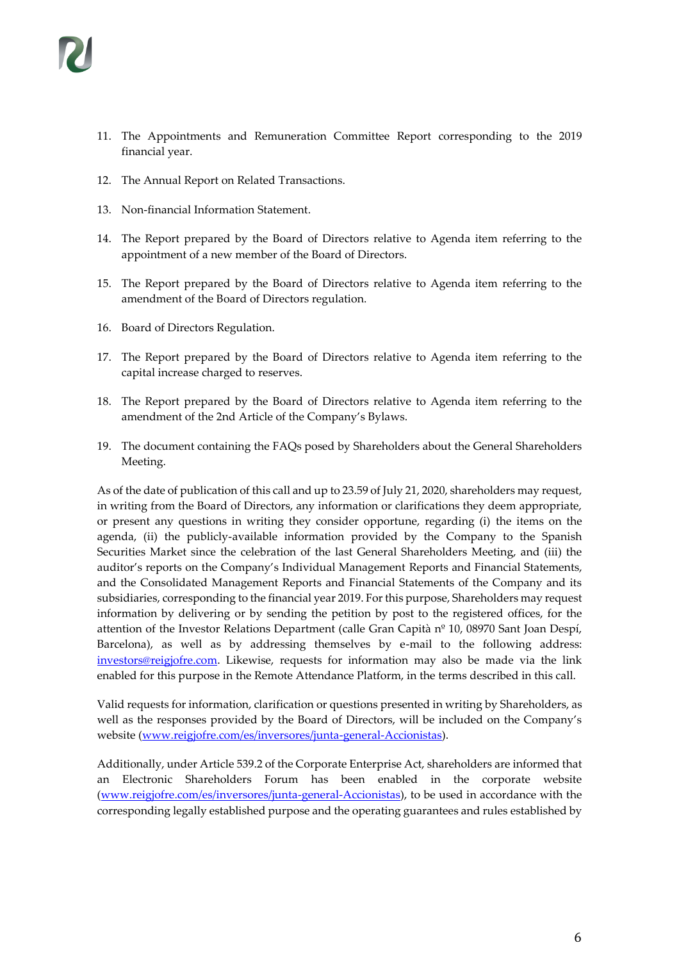- 11. The Appointments and Remuneration Committee Report corresponding to the 2019 financial year.
- 12. The Annual Report on Related Transactions.
- 13. Non-financial Information Statement.
- 14. The Report prepared by the Board of Directors relative to Agenda item referring to the appointment of a new member of the Board of Directors.
- 15. The Report prepared by the Board of Directors relative to Agenda item referring to the amendment of the Board of Directors regulation.
- 16. Board of Directors Regulation.
- 17. The Report prepared by the Board of Directors relative to Agenda item referring to the capital increase charged to reserves.
- 18. The Report prepared by the Board of Directors relative to Agenda item referring to the amendment of the 2nd Article of the Company's Bylaws.
- 19. The document containing the FAQs posed by Shareholders about the General Shareholders Meeting.

As of the date of publication of this call and up to 23.59 of July 21, 2020, shareholders may request, in writing from the Board of Directors, any information or clarifications they deem appropriate, or present any questions in writing they consider opportune, regarding (i) the items on the agenda, (ii) the publicly-available information provided by the Company to the Spanish Securities Market since the celebration of the last General Shareholders Meeting, and (iii) the auditor's reports on the Company's Individual Management Reports and Financial Statements, and the Consolidated Management Reports and Financial Statements of the Company and its subsidiaries, corresponding to the financial year 2019. For this purpose, Shareholders may request information by delivering or by sending the petition by post to the registered offices, for the attention of the Investor Relations Department (calle Gran Capità nº 10, 08970 Sant Joan Despí, Barcelona), as well as by addressing themselves by e-mail to the following address: [investors@reigjofre.com.](mailto:investors@reigjofre.com) Likewise, requests for information may also be made via the link enabled for this purpose in the Remote Attendance Platform, in the terms described in this call.

Valid requests for information, clarification or questions presented in writing by Shareholders, as well as the responses provided by the Board of Directors, will be included on the Company's website [\(www.reigjofre.com/es/inversores/junta-general-Accionistas\)](http://www.reigjofre.com/es/inversores/junta-general-accionistas).

Additionally, under Article 539.2 of the Corporate Enterprise Act, shareholders are informed that an Electronic Shareholders Forum has been enabled in the corporate website [\(www.reigjofre.com/es/inversores/junta-general-Accionistas\)](http://www.reigjofre.com/es/inversores/junta-general-accionistas), to be used in accordance with the corresponding legally established purpose and the operating guarantees and rules established by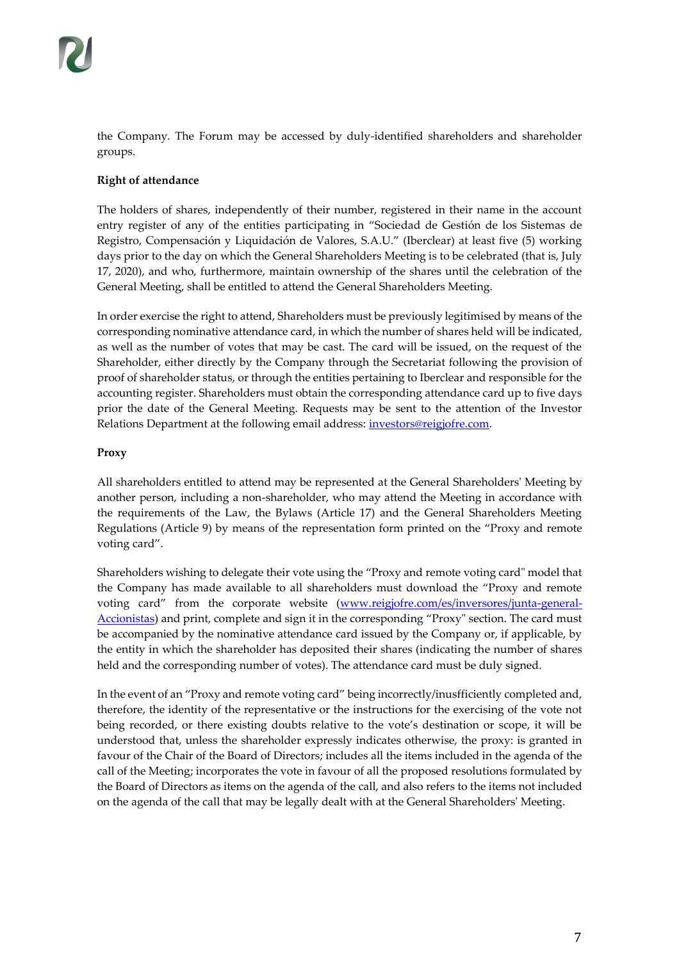the Company. The Forum may be accessed by duly-identified shareholders and shareholder groups.

# **Right of attendance**

The holders of shares, independently of their number, registered in their name in the account entry register of any of the entities participating in "Sociedad de Gestión de los Sistemas de Registro, Compensación y Liquidación de Valores, S.A.U." (Iberclear) at least five (5) working days prior to the day on which the General Shareholders Meeting is to be celebrated (that is, July 17, 2020), and who, furthermore, maintain ownership of the shares until the celebration of the General Meeting, shall be entitled to attend the General Shareholders Meeting.

In order exercise the right to attend, Shareholders must be previously legitimised by means of the corresponding nominative attendance card, in which the number of shares held will be indicated, as well as the number of votes that may be cast. The card will be issued, on the request of the Shareholder, either directly by the Company through the Secretariat following the provision of proof of shareholder status, or through the entities pertaining to Iberclear and responsible for the accounting register. Shareholders must obtain the corresponding attendance card up to five days prior the date of the General Meeting. Requests may be sent to the attention of the Investor Relations Department at the following email address: *investors@reigjofre.com*.

# **Proxy**

All shareholders entitled to attend may be represented at the General Shareholders' Meeting by another person, including a non-shareholder, who may attend the Meeting in accordance with the requirements of the Law, the Bylaws (Article 17) and the General Shareholders Meeting Regulations (Article 9) by means of the representation form printed on the "Proxy and remote voting card".

Shareholders wishing to delegate their vote using the "Proxy and remote voting card" model that the Company has made available to all shareholders must download the "Proxy and remote voting card" from the corporate website [\(www.reigjofre.com/es/inversores/junta-general-](http://www.reigjofre.com/es/inversores/junta-general-accionistas)[Accionistas](http://www.reigjofre.com/es/inversores/junta-general-accionistas)) and print, complete and sign it in the corresponding "Proxy" section. The card must be accompanied by the nominative attendance card issued by the Company or, if applicable, by the entity in which the shareholder has deposited their shares (indicating the number of shares held and the corresponding number of votes). The attendance card must be duly signed.

In the event of an "Proxy and remote voting card" being incorrectly/inusfficiently completed and, therefore, the identity of the representative or the instructions for the exercising of the vote not being recorded, or there existing doubts relative to the vote's destination or scope, it will be understood that, unless the shareholder expressly indicates otherwise, the proxy: is granted in favour of the Chair of the Board of Directors; includes all the items included in the agenda of the call of the Meeting; incorporates the vote in favour of all the proposed resolutions formulated by the Board of Directors as items on the agenda of the call, and also refers to the items not included on the agenda of the call that may be legally dealt with at the General Shareholders' Meeting.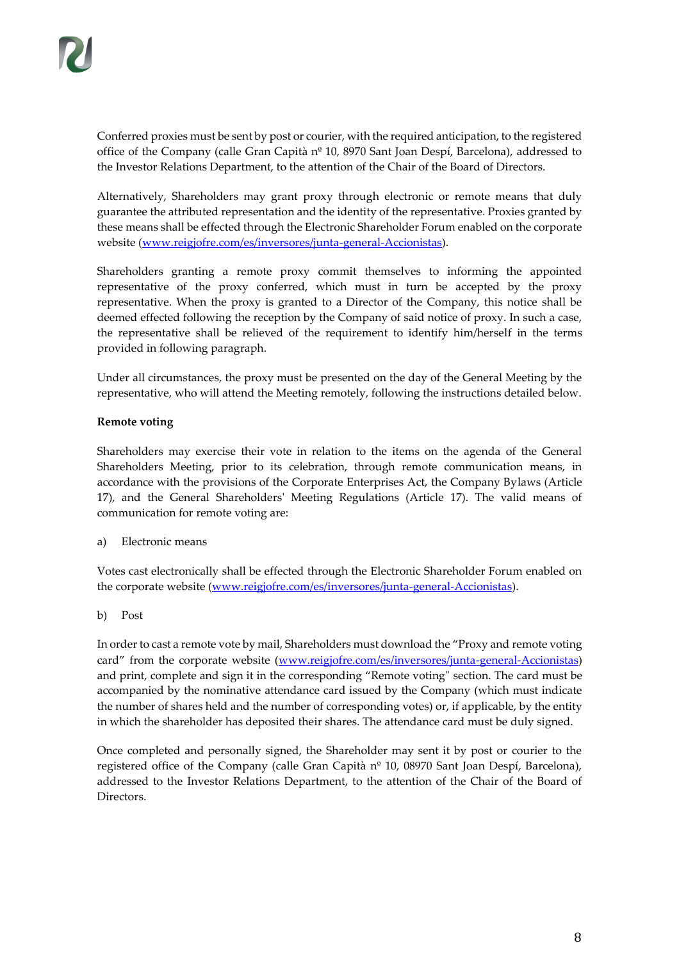Conferred proxies must be sent by post or courier, with the required anticipation, to the registered office of the Company (calle Gran Capità nº 10, 8970 Sant Joan Despí, Barcelona), addressed to the Investor Relations Department, to the attention of the Chair of the Board of Directors.

Alternatively, Shareholders may grant proxy through electronic or remote means that duly guarantee the attributed representation and the identity of the representative. Proxies granted by these means shall be effected through the Electronic Shareholder Forum enabled on the corporate website [\(www.reigjofre.com/es/inversores/junta-general-Accionistas\)](http://www.reigjofre.com/es/inversores/junta-general-accionistas).

Shareholders granting a remote proxy commit themselves to informing the appointed representative of the proxy conferred, which must in turn be accepted by the proxy representative. When the proxy is granted to a Director of the Company, this notice shall be deemed effected following the reception by the Company of said notice of proxy. In such a case, the representative shall be relieved of the requirement to identify him/herself in the terms provided in following paragraph.

Under all circumstances, the proxy must be presented on the day of the General Meeting by the representative, who will attend the Meeting remotely, following the instructions detailed below.

# **Remote voting**

Shareholders may exercise their vote in relation to the items on the agenda of the General Shareholders Meeting, prior to its celebration, through remote communication means, in accordance with the provisions of the Corporate Enterprises Act, the Company Bylaws (Article 17), and the General Shareholders' Meeting Regulations (Article 17). The valid means of communication for remote voting are:

a) Electronic means

Votes cast electronically shall be effected through the Electronic Shareholder Forum enabled on the corporate website [\(www.reigjofre.com/es/inversores/junta-general-Accionistas\)](http://www.reigjofre.com/es/inversores/junta-general-accionistas).

b) Post

In order to cast a remote vote by mail, Shareholders must download the "Proxy and remote voting card" from the corporate website ([www.reigjofre.com/es/inversores/junta-general-Accionistas\)](http://www.reigjofre.com/es/inversores/junta-general-accionistas) and print, complete and sign it in the corresponding "Remote voting" section. The card must be accompanied by the nominative attendance card issued by the Company (which must indicate the number of shares held and the number of corresponding votes) or, if applicable, by the entity in which the shareholder has deposited their shares. The attendance card must be duly signed.

Once completed and personally signed, the Shareholder may sent it by post or courier to the registered office of the Company (calle Gran Capità nº 10, 08970 Sant Joan Despí, Barcelona), addressed to the Investor Relations Department, to the attention of the Chair of the Board of Directors.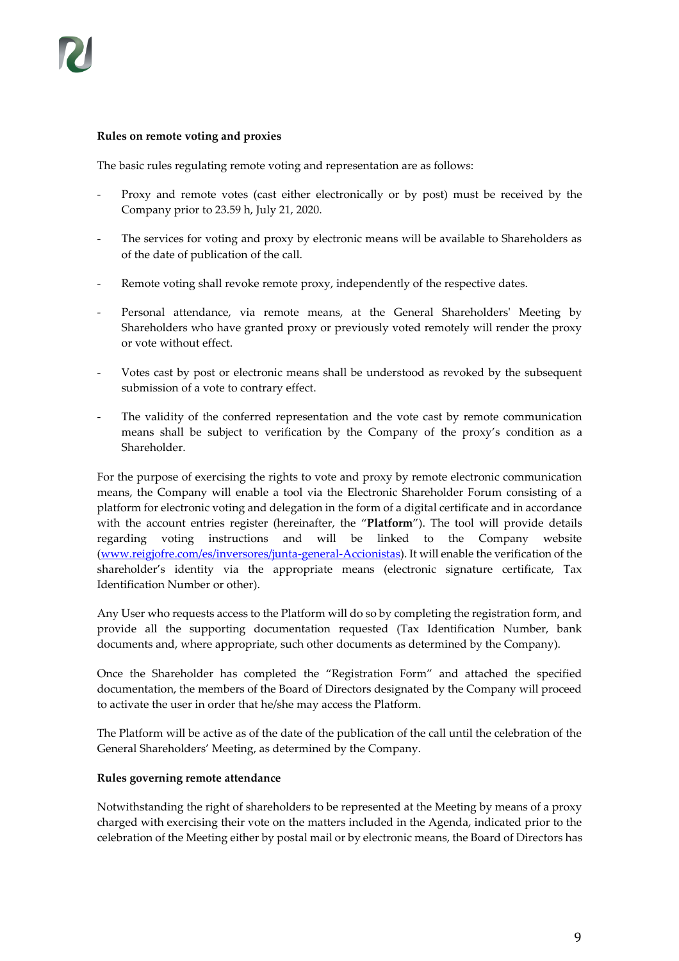#### **Rules on remote voting and proxies**

The basic rules regulating remote voting and representation are as follows:

- Proxy and remote votes (cast either electronically or by post) must be received by the Company prior to 23.59 h, July 21, 2020.
- The services for voting and proxy by electronic means will be available to Shareholders as of the date of publication of the call.
- Remote voting shall revoke remote proxy, independently of the respective dates.
- Personal attendance, via remote means, at the General Shareholders' Meeting by Shareholders who have granted proxy or previously voted remotely will render the proxy or vote without effect.
- Votes cast by post or electronic means shall be understood as revoked by the subsequent submission of a vote to contrary effect.
- The validity of the conferred representation and the vote cast by remote communication means shall be subject to verification by the Company of the proxy's condition as a Shareholder.

For the purpose of exercising the rights to vote and proxy by remote electronic communication means, the Company will enable a tool via the Electronic Shareholder Forum consisting of a platform for electronic voting and delegation in the form of a digital certificate and in accordance with the account entries register (hereinafter, the "**Platform**"). The tool will provide details regarding voting instructions and will be linked to the Company website [\(www.reigjofre.com/es/inversores/junta-general-Accionistas\)](http://www.reigjofre.com/es/inversores/junta-general-accionistas). It will enable the verification of the shareholder's identity via the appropriate means (electronic signature certificate, Tax Identification Number or other).

Any User who requests access to the Platform will do so by completing the registration form, and provide all the supporting documentation requested (Tax Identification Number, bank documents and, where appropriate, such other documents as determined by the Company).

Once the Shareholder has completed the "Registration Form" and attached the specified documentation, the members of the Board of Directors designated by the Company will proceed to activate the user in order that he/she may access the Platform.

The Platform will be active as of the date of the publication of the call until the celebration of the General Shareholders' Meeting, as determined by the Company.

#### **Rules governing remote attendance**

Notwithstanding the right of shareholders to be represented at the Meeting by means of a proxy charged with exercising their vote on the matters included in the Agenda, indicated prior to the celebration of the Meeting either by postal mail or by electronic means, the Board of Directors has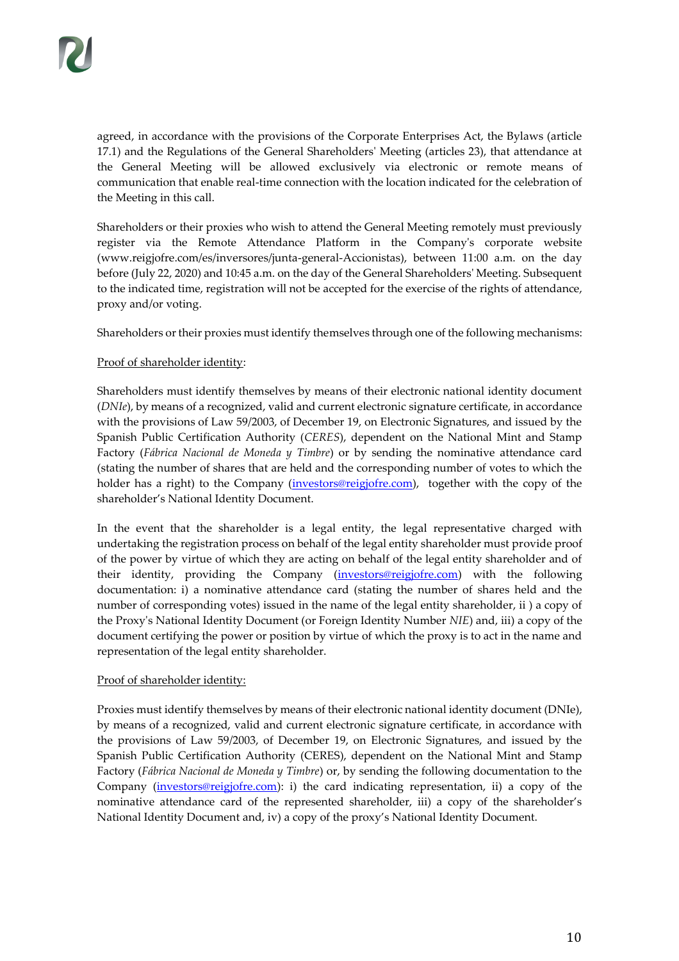agreed, in accordance with the provisions of the Corporate Enterprises Act, the Bylaws (article 17.1) and the Regulations of the General Shareholders' Meeting (articles 23), that attendance at the General Meeting will be allowed exclusively via electronic or remote means of communication that enable real-time connection with the location indicated for the celebration of the Meeting in this call.

Shareholders or their proxies who wish to attend the General Meeting remotely must previously register via the Remote Attendance Platform in the Company's corporate website [\(www.reigjofre.com/es/inversores/junta-general-Accionistas\)](http://www.reigjofre.com/es/inversores/junta-general-accionistas), between 11:00 a.m. on the day before (July 22, 2020) and 10:45 a.m. on the day of the General Shareholders' Meeting. Subsequent to the indicated time, registration will not be accepted for the exercise of the rights of attendance, proxy and/or voting.

Shareholders or their proxies must identify themselves through one of the following mechanisms:

# Proof of shareholder identity:

Shareholders must identify themselves by means of their electronic national identity document (*DNIe*), by means of a recognized, valid and current electronic signature certificate, in accordance with the provisions of Law 59/2003, of December 19, on Electronic Signatures, and issued by the Spanish Public Certification Authority (*CERES*), dependent on the National Mint and Stamp Factory (*Fábrica Nacional de Moneda y Timbre*) or by sending the nominative attendance card (stating the number of shares that are held and the corresponding number of votes to which the holder has a right) to the Company [\(investors@reigjofre.com\)](mailto:investors@reigjofre.com), together with the copy of the shareholder's National Identity Document.

In the event that the shareholder is a legal entity, the legal representative charged with undertaking the registration process on behalf of the legal entity shareholder must provide proof of the power by virtue of which they are acting on behalf of the legal entity shareholder and of their identity, providing the Company [\(investors@reigjofre.com\)](mailto:investors@reigjofre.com) with the following documentation: i) a nominative attendance card (stating the number of shares held and the number of corresponding votes) issued in the name of the legal entity shareholder, ii ) a copy of the Proxy's National Identity Document (or Foreign Identity Number *NIE*) and, iii) a copy of the document certifying the power or position by virtue of which the proxy is to act in the name and representation of the legal entity shareholder.

# Proof of shareholder identity:

Proxies must identify themselves by means of their electronic national identity document (DNIe), by means of a recognized, valid and current electronic signature certificate, in accordance with the provisions of Law 59/2003, of December 19, on Electronic Signatures, and issued by the Spanish Public Certification Authority (CERES), dependent on the National Mint and Stamp Factory (*Fábrica Nacional de Moneda y Timbre*) or, by sending the following documentation to the Company [\(investors@reigjofre.com\)](mailto:investors@reigjofre.com): i) the card indicating representation, ii) a copy of the nominative attendance card of the represented shareholder, iii) a copy of the shareholder's National Identity Document and, iv) a copy of the proxy's National Identity Document.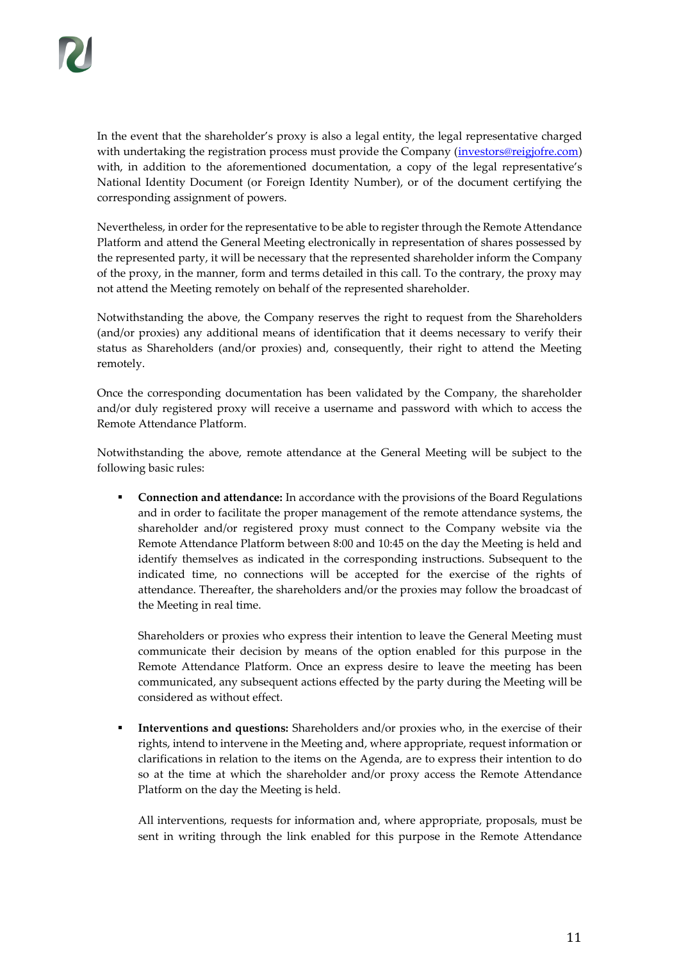In the event that the shareholder's proxy is also a legal entity, the legal representative charged with undertaking the registration process must provide the Company [\(investors@reigjofre.com\)](mailto:investors@reigjofre.com) with, in addition to the aforementioned documentation, a copy of the legal representative's National Identity Document (or Foreign Identity Number), or of the document certifying the corresponding assignment of powers.

Nevertheless, in order for the representative to be able to register through the Remote Attendance Platform and attend the General Meeting electronically in representation of shares possessed by the represented party, it will be necessary that the represented shareholder inform the Company of the proxy, in the manner, form and terms detailed in this call. To the contrary, the proxy may not attend the Meeting remotely on behalf of the represented shareholder.

Notwithstanding the above, the Company reserves the right to request from the Shareholders (and/or proxies) any additional means of identification that it deems necessary to verify their status as Shareholders (and/or proxies) and, consequently, their right to attend the Meeting remotely.

Once the corresponding documentation has been validated by the Company, the shareholder and/or duly registered proxy will receive a username and password with which to access the Remote Attendance Platform.

Notwithstanding the above, remote attendance at the General Meeting will be subject to the following basic rules:

**Connection and attendance:** In accordance with the provisions of the Board Regulations and in order to facilitate the proper management of the remote attendance systems, the shareholder and/or registered proxy must connect to the Company website via the Remote Attendance Platform between 8:00 and 10:45 on the day the Meeting is held and identify themselves as indicated in the corresponding instructions. Subsequent to the indicated time, no connections will be accepted for the exercise of the rights of attendance. Thereafter, the shareholders and/or the proxies may follow the broadcast of the Meeting in real time.

Shareholders or proxies who express their intention to leave the General Meeting must communicate their decision by means of the option enabled for this purpose in the Remote Attendance Platform. Once an express desire to leave the meeting has been communicated, any subsequent actions effected by the party during the Meeting will be considered as without effect.

Interventions and questions: Shareholders and/or proxies who, in the exercise of their rights, intend to intervene in the Meeting and, where appropriate, request information or clarifications in relation to the items on the Agenda, are to express their intention to do so at the time at which the shareholder and/or proxy access the Remote Attendance Platform on the day the Meeting is held.

All interventions, requests for information and, where appropriate, proposals, must be sent in writing through the link enabled for this purpose in the Remote Attendance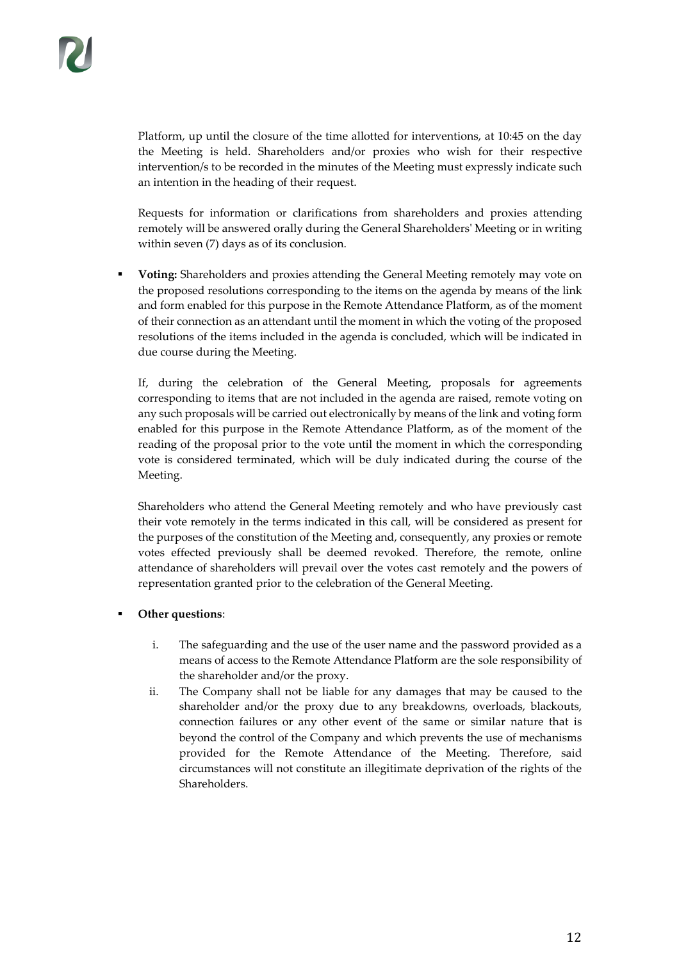Platform, up until the closure of the time allotted for interventions, at 10:45 on the day the Meeting is held. Shareholders and/or proxies who wish for their respective intervention/s to be recorded in the minutes of the Meeting must expressly indicate such an intention in the heading of their request.

Requests for information or clarifications from shareholders and proxies attending remotely will be answered orally during the General Shareholders' Meeting or in writing within seven (7) days as of its conclusion.

**Voting:** Shareholders and proxies attending the General Meeting remotely may vote on the proposed resolutions corresponding to the items on the agenda by means of the link and form enabled for this purpose in the Remote Attendance Platform, as of the moment of their connection as an attendant until the moment in which the voting of the proposed resolutions of the items included in the agenda is concluded, which will be indicated in due course during the Meeting.

If, during the celebration of the General Meeting, proposals for agreements corresponding to items that are not included in the agenda are raised, remote voting on any such proposals will be carried out electronically by means of the link and voting form enabled for this purpose in the Remote Attendance Platform, as of the moment of the reading of the proposal prior to the vote until the moment in which the corresponding vote is considered terminated, which will be duly indicated during the course of the Meeting.

Shareholders who attend the General Meeting remotely and who have previously cast their vote remotely in the terms indicated in this call, will be considered as present for the purposes of the constitution of the Meeting and, consequently, any proxies or remote votes effected previously shall be deemed revoked. Therefore, the remote, online attendance of shareholders will prevail over the votes cast remotely and the powers of representation granted prior to the celebration of the General Meeting.

# **Other questions:**

- i. The safeguarding and the use of the user name and the password provided as a means of access to the Remote Attendance Platform are the sole responsibility of the shareholder and/or the proxy.
- ii. The Company shall not be liable for any damages that may be caused to the shareholder and/or the proxy due to any breakdowns, overloads, blackouts, connection failures or any other event of the same or similar nature that is beyond the control of the Company and which prevents the use of mechanisms provided for the Remote Attendance of the Meeting. Therefore, said circumstances will not constitute an illegitimate deprivation of the rights of the **Shareholders**